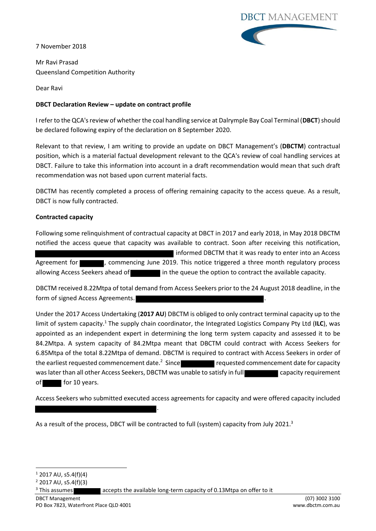7 November 2018

**DBCT MANAGEMENT** 

Mr Ravi Prasad Queensland Competition Authority

Dear Ravi

# **DBCT Declaration Review – update on contract profile**

I refer to the QCA's review of whether the coal handling service at Dalrymple Bay Coal Terminal (**DBCT**) should be declared following expiry of the declaration on 8 September 2020.

Relevant to that review, I am writing to provide an update on DBCT Management's (**DBCTM**) contractual position, which is a material factual development relevant to the QCA's review of coal handling services at DBCT. Failure to take this information into account in a draft recommendation would mean that such draft recommendation was not based upon current material facts.

DBCTM has recently completed a process of offering remaining capacity to the access queue. As a result, DBCT is now fully contracted.

# **Contracted capacity**

Following some relinquishment of contractual capacity at DBCT in 2017 and early 2018, in May 2018 DBCTM notified the access queue that capacity was available to contract. Soon after receiving this notification, informed DBCTM that it was ready to enter into an Access Agreement for  $\blacksquare$ , commencing June 2019. This notice triggered a three month regulatory process allowing Access Seekers ahead of in the queue the option to contract the available capacity.

DBCTM received 8.22Mtpa of total demand from Access Seekers prior to the 24 August 2018 deadline, in the form of signed Access Agreements.

Under the 2017 Access Undertaking (**2017 AU**) DBCTM is obliged to only contract terminal capacity up to the limit of system capacity.<sup>1</sup> The supply chain coordinator, the Integrated Logistics Company Pty Ltd (**ILC**), was appointed as an independent expert in determining the long term system capacity and assessed it to be 84.2Mtpa. A system capacity of 84.2Mtpa meant that DBCTM could contract with Access Seekers for 6.85Mtpa of the total 8.22Mtpa of demand. DBCTM is required to contract with Access Seekers in order of the earliest requested commencement date. $2$  Since  $\blacksquare$  requested commencement date for capacity was later than all other Access Seekers, DBCTM was unable to satisfy in full capacity requirement of for 10 years.

Access Seekers who submitted executed access agreements for capacity and were offered capacity included

As a result of the process, DBCT will be contracted to full (system) capacity from July 2021.<sup>3</sup>

.

<sup>3</sup> This assumes **accepts** the available long-term capacity of 0.13Mtpa on offer to it

**<sup>-</sup>** $1$  2017 AU, s5.4(f)(4)

 $2$  2017 AU, s5.4(f)(3)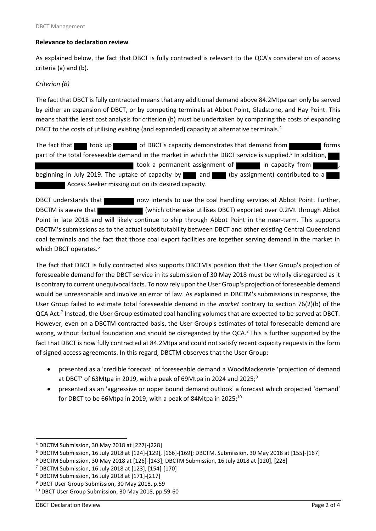#### **Relevance to declaration review**

As explained below, the fact that DBCT is fully contracted is relevant to the QCA's consideration of access criteria (a) and (b).

### *Criterion (b)*

The fact that DBCT is fully contracted means that any additional demand above 84.2Mtpa can only be served by either an expansion of DBCT, or by competing terminals at Abbot Point, Gladstone, and Hay Point. This means that the least cost analysis for criterion (b) must be undertaken by comparing the costs of expanding DBCT to the costs of utilising existing (and expanded) capacity at alternative terminals.<sup>4</sup>

The fact that took up of DBCT's capacity demonstrates that demand from **forms** forms part of the total foreseeable demand in the market in which the DBCT service is supplied.<sup>5</sup> In addition, took a permanent assignment of in capacity from beginning in July 2019. The uptake of capacity by  $\Box$  and  $\Box$  (by assignment) contributed to a Access Seeker missing out on its desired capacity.

DBCT understands that now intends to use the coal handling services at Abbot Point. Further, DBCTM is aware that (which otherwise utilises DBCT) exported over 0.2Mt through Abbot Point in late 2018 and will likely continue to ship through Abbot Point in the near-term. This supports DBCTM's submissions as to the actual substitutability between DBCT and other existing Central Queensland coal terminals and the fact that those coal export facilities are together serving demand in the market in which DBCT operates.<sup>6</sup>

The fact that DBCT is fully contracted also supports DBCTM's position that the User Group's projection of foreseeable demand for the DBCT service in its submission of 30 May 2018 must be wholly disregarded as it is contrary to current unequivocal facts. To now rely upon the User Group's projection of foreseeable demand would be unreasonable and involve an error of law. As explained in DBCTM's submissions in response, the User Group failed to estimate total foreseeable demand in the *market* contrary to section 76(2)(b) of the QCA Act.<sup>7</sup> Instead, the User Group estimated coal handling volumes that are expected to be served at DBCT. However, even on a DBCTM contracted basis, the User Group's estimates of total foreseeable demand are wrong, without factual foundation and should be disregarded by the QCA.<sup>8</sup> This is further supported by the fact that DBCT is now fully contracted at 84.2Mtpa and could not satisfy recent capacity requests in the form of signed access agreements. In this regard, DBCTM observes that the User Group:

- presented as a 'credible forecast' of foreseeable demand a WoodMackenzie 'projection of demand at DBCT' of 63Mtpa in 2019, with a peak of 69Mtpa in 2024 and 2025;<sup>9</sup>
- presented as an 'aggressive or upper bound demand outlook' a forecast which projected 'demand' for DBCT to be 66Mtpa in 2019, with a peak of 84Mtpa in 2025;<sup>10</sup>

**.** 

<sup>4</sup> DBCTM Submission, 30 May 2018 at [227]-[228]

<sup>5</sup> DBCTM Submission, 16 July 2018 at [124]-[129], [166]-[169]; DBCTM, Submission, 30 May 2018 at [155]-[167]

<sup>6</sup> DBCTM Submission, 30 May 2018 at [126]-[143]; DBCTM Submission, 16 July 2018 at [120], [228]

<sup>7</sup> DBCTM Submission, 16 July 2018 at [123], [154]-[170]

<sup>8</sup> DBCTM Submission, 16 July 2018 at [171]-[217]

<sup>&</sup>lt;sup>9</sup> DBCT User Group Submission, 30 May 2018, p.59

<sup>10</sup> DBCT User Group Submission, 30 May 2018, pp.59-60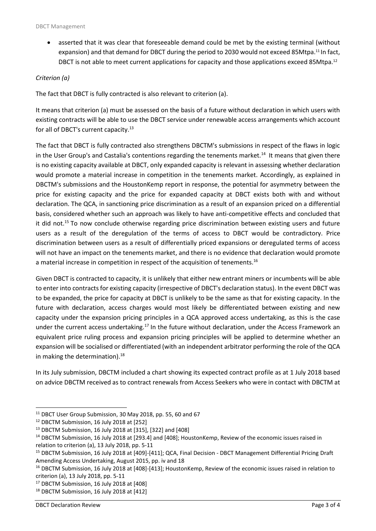• asserted that it was clear that foreseeable demand could be met by the existing terminal (without expansion) and that demand for DBCT during the period to 2030 would not exceed 85Mtpa.<sup>11</sup> In fact, DBCT is not able to meet current applications for capacity and those applications exceed 85Mtpa.<sup>12</sup>

### *Criterion (a)*

The fact that DBCT is fully contracted is also relevant to criterion (a).

It means that criterion (a) must be assessed on the basis of a future without declaration in which users with existing contracts will be able to use the DBCT service under renewable access arrangements which account for all of DBCT's current capacity.<sup>13</sup>

The fact that DBCT is fully contracted also strengthens DBCTM's submissions in respect of the flaws in logic in the User Group's and Castalia's contentions regarding the tenements market.<sup>14</sup> It means that given there is no existing capacity available at DBCT, only expanded capacity is relevant in assessing whether declaration would promote a material increase in competition in the tenements market. Accordingly, as explained in DBCTM's submissions and the HoustonKemp report in response, the potential for asymmetry between the price for existing capacity and the price for expanded capacity at DBCT exists both with and without declaration. The QCA, in sanctioning price discrimination as a result of an expansion priced on a differential basis, considered whether such an approach was likely to have anti-competitive effects and concluded that it did not.<sup>15</sup> To now conclude otherwise regarding price discrimination between existing users and future users as a result of the deregulation of the terms of access to DBCT would be contradictory. Price discrimination between users as a result of differentially priced expansions or deregulated terms of access will not have an impact on the tenements market, and there is no evidence that declaration would promote a material increase in competition in respect of the acquisition of tenements.<sup>16</sup>

Given DBCT is contracted to capacity, it is unlikely that either new entrant miners or incumbents will be able to enter into contracts for existing capacity (irrespective of DBCT's declaration status). In the event DBCT was to be expanded, the price for capacity at DBCT is unlikely to be the same as that for existing capacity. In the future with declaration, access charges would most likely be differentiated between existing and new capacity under the expansion pricing principles in a QCA approved access undertaking, as this is the case under the current access undertaking.<sup>17</sup> In the future without declaration, under the Access Framework an equivalent price ruling process and expansion pricing principles will be applied to determine whether an expansion will be socialised or differentiated (with an independent arbitrator performing the role of the QCA in making the determination).<sup>18</sup>

In its July submission, DBCTM included a chart showing its expected contract profile as at 1 July 2018 based on advice DBCTM received as to contract renewals from Access Seekers who were in contact with DBCTM at

**.** 

<sup>&</sup>lt;sup>11</sup> DBCT User Group Submission, 30 May 2018, pp. 55, 60 and 67

<sup>&</sup>lt;sup>12</sup> DBCTM Submission, 16 July 2018 at [252]

<sup>13</sup> DBCTM Submission, 16 July 2018 at [315], [322] and [408]

<sup>14</sup> DBCTM Submission, 16 July 2018 at [293.4] and [408]; HoustonKemp, Review of the economic issues raised in relation to criterion (a), 13 July 2018, pp. 5-11

<sup>15</sup> DBCTM Submission, 16 July 2018 at [409]-[411]; QCA, Final Decision - DBCT Management Differential Pricing Draft Amending Access Undertaking, August 2015, pp. iv and 18

<sup>16</sup> DBCTM Submission, 16 July 2018 at [408]-[413]; HoustonKemp, Review of the economic issues raised in relation to criterion (a), 13 July 2018, pp. 5-11

<sup>&</sup>lt;sup>17</sup> DBCTM Submission, 16 July 2018 at [408]

<sup>&</sup>lt;sup>18</sup> DBCTM Submission, 16 July 2018 at [412]